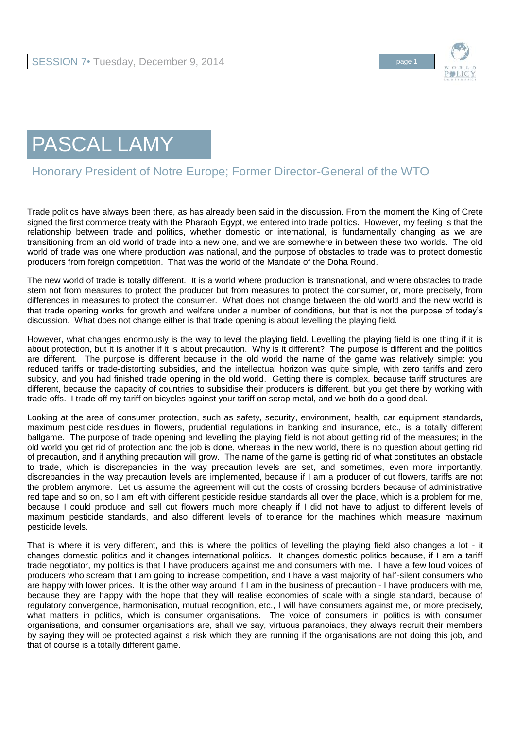

## PASCAL LAMY

## Honorary President of Notre Europe; Former Director-General of the WTO

Trade politics have always been there, as has already been said in the discussion. From the moment the King of Crete signed the first commerce treaty with the Pharaoh Egypt, we entered into trade politics. However, my feeling is that the relationship between trade and politics, whether domestic or international, is fundamentally changing as we are transitioning from an old world of trade into a new one, and we are somewhere in between these two worlds. The old world of trade was one where production was national, and the purpose of obstacles to trade was to protect domestic producers from foreign competition. That was the world of the Mandate of the Doha Round.

The new world of trade is totally different. It is a world where production is transnational, and where obstacles to trade stem not from measures to protect the producer but from measures to protect the consumer, or, more precisely, from differences in measures to protect the consumer. What does not change between the old world and the new world is that trade opening works for growth and welfare under a number of conditions, but that is not the purpose of today's discussion. What does not change either is that trade opening is about levelling the playing field.

However, what changes enormously is the way to level the playing field. Levelling the playing field is one thing if it is about protection, but it is another if it is about precaution. Why is it different? The purpose is different and the politics are different. The purpose is different because in the old world the name of the game was relatively simple: you reduced tariffs or trade-distorting subsidies, and the intellectual horizon was quite simple, with zero tariffs and zero subsidy, and you had finished trade opening in the old world. Getting there is complex, because tariff structures are different, because the capacity of countries to subsidise their producers is different, but you get there by working with trade-offs. I trade off my tariff on bicycles against your tariff on scrap metal, and we both do a good deal.

Looking at the area of consumer protection, such as safety, security, environment, health, car equipment standards, maximum pesticide residues in flowers, prudential regulations in banking and insurance, etc., is a totally different ballgame. The purpose of trade opening and levelling the playing field is not about getting rid of the measures; in the old world you get rid of protection and the job is done, whereas in the new world, there is no question about getting rid of precaution, and if anything precaution will grow. The name of the game is getting rid of what constitutes an obstacle to trade, which is discrepancies in the way precaution levels are set, and sometimes, even more importantly, discrepancies in the way precaution levels are implemented, because if I am a producer of cut flowers, tariffs are not the problem anymore. Let us assume the agreement will cut the costs of crossing borders because of administrative red tape and so on, so I am left with different pesticide residue standards all over the place, which is a problem for me, because I could produce and sell cut flowers much more cheaply if I did not have to adjust to different levels of maximum pesticide standards, and also different levels of tolerance for the machines which measure maximum pesticide levels.

That is where it is very different, and this is where the politics of levelling the playing field also changes a lot - it changes domestic politics and it changes international politics. It changes domestic politics because, if I am a tariff trade negotiator, my politics is that I have producers against me and consumers with me. I have a few loud voices of producers who scream that I am going to increase competition, and I have a vast majority of half-silent consumers who are happy with lower prices. It is the other way around if I am in the business of precaution - I have producers with me, because they are happy with the hope that they will realise economies of scale with a single standard, because of regulatory convergence, harmonisation, mutual recognition, etc., I will have consumers against me, or more precisely, what matters in politics, which is consumer organisations. The voice of consumers in politics is with consumer organisations, and consumer organisations are, shall we say, virtuous paranoiacs, they always recruit their members by saying they will be protected against a risk which they are running if the organisations are not doing this job, and that of course is a totally different game.